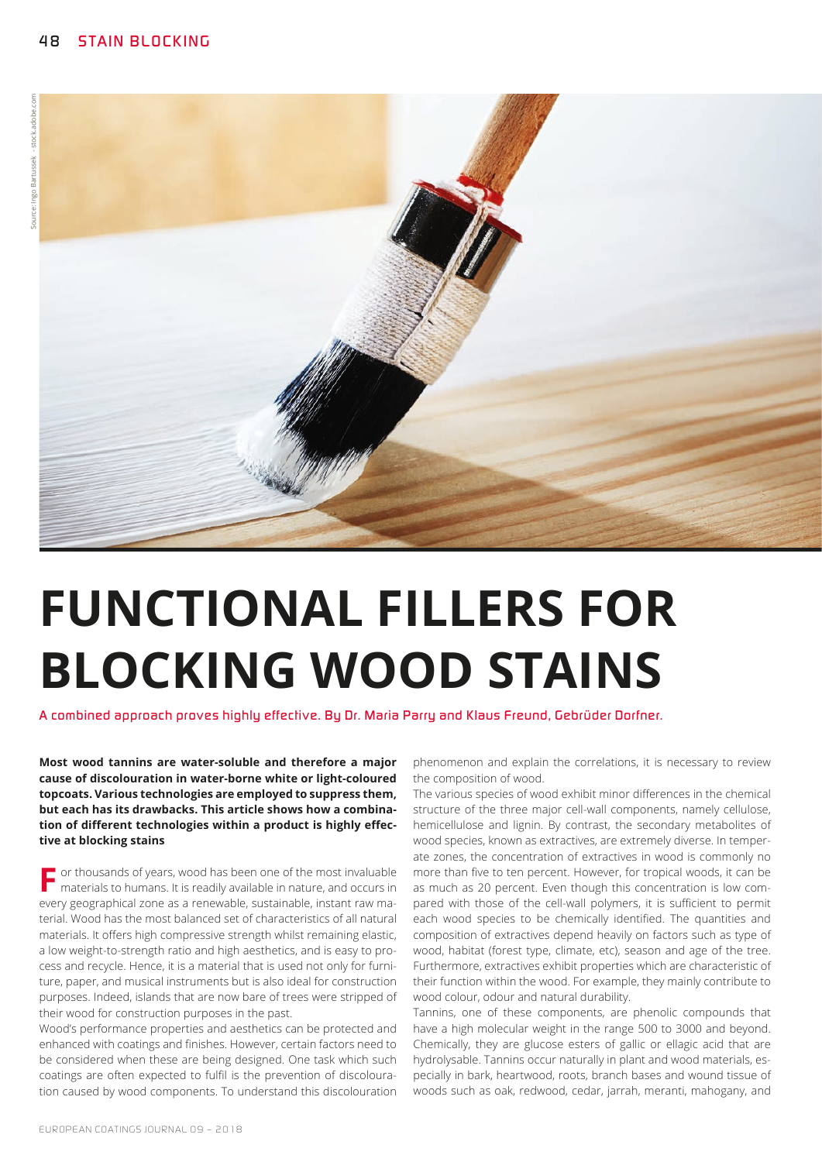

# **FUNCTIONAL FILLERS FOR BLOCKING WOOD STAINS**

*A combined approach proves highly effective. By Dr. Maria Parry and Klaus Freund, Gebrüder Dorfner.*

**Most wood tannins are water-soluble and therefore a major cause of discolouration in water-borne white or light-coloured topcoats. Various technologies are employed to suppress them, but each has its drawbacks. This article shows how a combination of different technologies within a product is highly effective at blocking stains**

**F** or thousands of years, wood has been one of the most invaluable materials to humans. It is readily available in nature, and occurs in every geographical zone as a renewable, sustainable, instant raw material. Wood has the most balanced set of characteristics of all natural materials. It offers high compressive strength whilst remaining elastic, a low weight-to-strength ratio and high aesthetics, and is easy to process and recycle. Hence, it is a material that is used not only for furniture, paper, and musical instruments but is also ideal for construction purposes. Indeed, islands that are now bare of trees were stripped of their wood for construction purposes in the past.

Wood's performance properties and aesthetics can be protected and enhanced with coatings and finishes. However, certain factors need to be considered when these are being designed. One task which such coatings are often expected to fulfil is the prevention of discolouration caused by wood components. To understand this discolouration

phenomenon and explain the correlations, it is necessary to review the composition of wood.

The various species of wood exhibit minor differences in the chemical structure of the three major cell-wall components, namely cellulose, hemicellulose and lignin. By contrast, the secondary metabolites of wood species, known as extractives, are extremely diverse. In temperate zones, the concentration of extractives in wood is commonly no more than five to ten percent. However, for tropical woods, it can be as much as 20 percent. Even though this concentration is low compared with those of the cell-wall polymers, it is sufficient to permit each wood species to be chemically identified. The quantities and composition of extractives depend heavily on factors such as type of wood, habitat (forest type, climate, etc), season and age of the tree. Furthermore, extractives exhibit properties which are characteristic of their function within the wood. For example, they mainly contribute to wood colour, odour and natural durability.

Tannins, one of these components, are phenolic compounds that have a high molecular weight in the range 500 to 3000 and beyond. Chemically, they are glucose esters of gallic or ellagic acid that are hydrolysable. Tannins occur naturally in plant and wood materials, especially in bark, heartwood, roots, branch bases and wound tissue of woods such as oak, redwood, cedar, jarrah, meranti, mahogany, and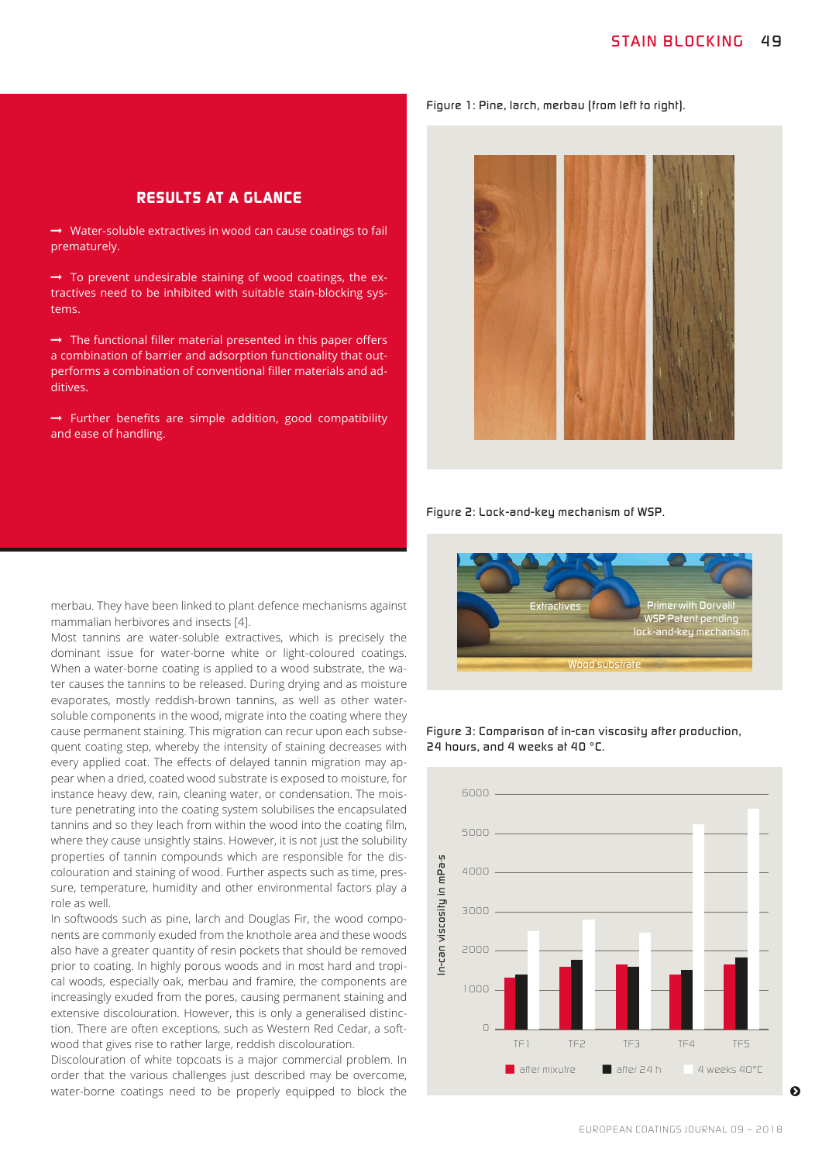*Figure 1: Pine, larch, merbau (from left to right).* 

## *RESULTS AT A GLANCE*

 $\rightarrow$  Water-soluble extractives in wood can cause coatings to fail prematurely.

 $\rightarrow$  To prevent undesirable staining of wood coatings, the extractives need to be inhibited with suitable stain-blocking systems.

 $\rightarrow$  The functional filler material presented in this paper offers a combination of barrier and adsorption functionality that outperforms a combination of conventional filler materials and additives.

 $\rightarrow$  Further benefits are simple addition, good compatibility and ease of handling.



*Figure 2: Lock-and-key mechanism of WSP.*



*Figure 3: Comparison of in-can viscosity after production, 24 hours, and 4 weeks at 40 °C.* 



merbau. They have been linked to plant defence mechanisms against mammalian herbivores and insects [4].

Most tannins are water-soluble extractives, which is precisely the dominant issue for water-borne white or light-coloured coatings. When a water-borne coating is applied to a wood substrate, the water causes the tannins to be released. During drying and as moisture evaporates, mostly reddish-brown tannins, as well as other watersoluble components in the wood, migrate into the coating where they cause permanent staining. This migration can recur upon each subsequent coating step, whereby the intensity of staining decreases with every applied coat. The effects of delayed tannin migration may appear when a dried, coated wood substrate is exposed to moisture, for instance heavy dew, rain, cleaning water, or condensation. The moisture penetrating into the coating system solubilises the encapsulated tannins and so they leach from within the wood into the coating film, where they cause unsightly stains. However, it is not just the solubility properties of tannin compounds which are responsible for the discolouration and staining of wood. Further aspects such as time, pressure, temperature, humidity and other environmental factors play a role as well.

In softwoods such as pine, larch and Douglas Fir, the wood components are commonly exuded from the knothole area and these woods also have a greater quantity of resin pockets that should be removed prior to coating. In highly porous woods and in most hard and tropical woods, especially oak, merbau and framire, the components are increasingly exuded from the pores, causing permanent staining and extensive discolouration. However, this is only a generalised distinction. There are often exceptions, such as Western Red Cedar, a softwood that gives rise to rather large, reddish discolouration.

Discolouration of white topcoats is a major commercial problem. In order that the various challenges just described may be overcome,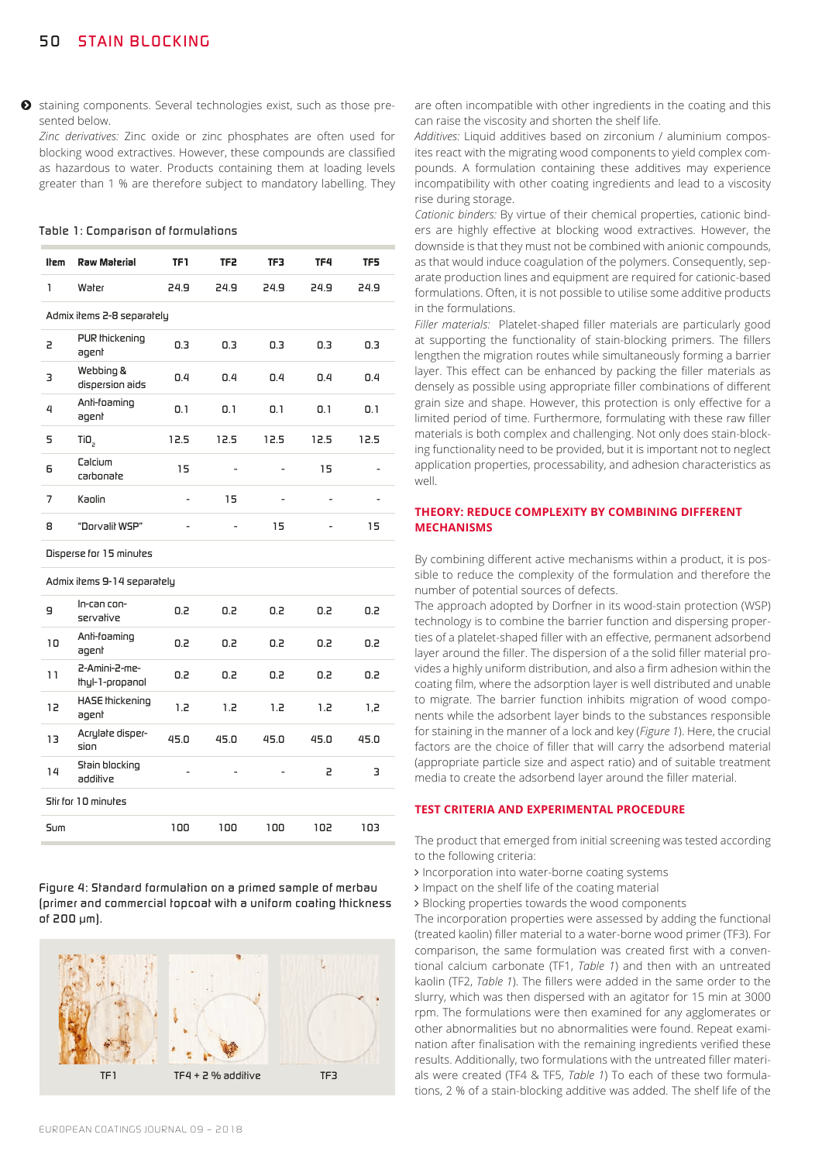$\bullet$  staining components. Several technologies exist, such as those presented below.

*Zinc derivatives:* Zinc oxide or zinc phosphates are often used for blocking wood extractives. However, these compounds are classified as hazardous to water. Products containing them at loading levels greater than 1 % are therefore subject to mandatory labelling. They

#### *Table 1: Comparison of formulations*

| <b>Item</b>                | <b>Raw Material</b>          | TF1  | TF <sub>2</sub> | TF3  | TF4  | TF5  |  |  |  |
|----------------------------|------------------------------|------|-----------------|------|------|------|--|--|--|
| 1                          | Water                        | 24.9 | 24.9            | 24.9 | 24.9 | 24.9 |  |  |  |
| Admix ilems 2-8 separately |                              |      |                 |      |      |      |  |  |  |
| 5                          | PUR thickening<br>agent      | 0.3  | 0.3             | 0.3  | 0.3  | 0.3  |  |  |  |
| 3                          | Webbing &<br>dispersion aids | 0.4  | 0.4             | 0.4  | 0.4  | 0.4  |  |  |  |
| 4                          | Anli-foaming<br>agent        | 0.1  | 0.1             | 0.1  | 0.1  | 0.1  |  |  |  |
| 5                          | TiO <sub>2</sub>             | 12.5 | 12.5            | 12.5 | 12.5 | 12.5 |  |  |  |
| 6                          | Calcium<br>carbonate         | 15   | $\overline{a}$  |      | 15   |      |  |  |  |
| 7                          | Kaolin                       |      | 15              | -    |      |      |  |  |  |
| 8                          | "Dorvalil WSP"               |      |                 | 15   |      | 15   |  |  |  |

*Disperse for 15 minutes*

*Admix items 9-14 separately*

| 9                   | In-can con-<br>servalive          | 0.2  | 0.2  | 0.2  | 0.2  | 0.2  |  |  |
|---------------------|-----------------------------------|------|------|------|------|------|--|--|
| 10                  | Anli-foaming<br>agent             | 0.2  | 0.2  | 0.2  | 0.2  | 0.2  |  |  |
| 11                  | -P-Amini-P-mp-<br>thyl-1-propanol | 0.2  | 0.2  | 0.2  | 0.2  | 0.2  |  |  |
| 12                  | HASE Ihickening<br>agent          | 1.2  | 1.2  | 1.2  | 1.2  | 1,2  |  |  |
| 13                  | Acrylate disper-<br>sion          | 45.0 | 45.0 | 45.0 | 45.0 | 45.0 |  |  |
| 14                  | Stain blocking<br>addilive        |      |      |      | 2    | з    |  |  |
| Stir for 10 minutes |                                   |      |      |      |      |      |  |  |
| Sum                 |                                   | 100  | 100  | 100  | 102  | 103  |  |  |
|                     |                                   |      |      |      |      |      |  |  |

*Figure 4: Standard formulation on a primed sample of merbau (primer and commercial topcoat with a uniform coating thickness of 200 μm).*



are often incompatible with other ingredients in the coating and this can raise the viscosity and shorten the shelf life.

*Additives:* Liquid additives based on zirconium / aluminium composites react with the migrating wood components to yield complex compounds. A formulation containing these additives may experience incompatibility with other coating ingredients and lead to a viscosity rise during storage.

*Cationic binders:* By virtue of their chemical properties, cationic binders are highly effective at blocking wood extractives. However, the downside is that they must not be combined with anionic compounds, as that would induce coagulation of the polymers. Consequently, separate production lines and equipment are required for cationic-based formulations. Often, it is not possible to utilise some additive products in the formulations.

*Filler materials:* Platelet-shaped filler materials are particularly good at supporting the functionality of stain-blocking primers. The fillers lengthen the migration routes while simultaneously forming a barrier layer. This effect can be enhanced by packing the filler materials as densely as possible using appropriate filler combinations of different grain size and shape. However, this protection is only effective for a limited period of time. Furthermore, formulating with these raw filler materials is both complex and challenging. Not only does stain-blocking functionality need to be provided, but it is important not to neglect application properties, processability, and adhesion characteristics as well.

#### **THEORY: REDUCE COMPLEXITY BY COMBINING DIFFERENT MECHANISMS**

By combining different active mechanisms within a product, it is possible to reduce the complexity of the formulation and therefore the number of potential sources of defects.

The approach adopted by Dorfner in its wood-stain protection (WSP) technology is to combine the barrier function and dispersing properties of a platelet-shaped filler with an effective, permanent adsorbend layer around the filler. The dispersion of a the solid filler material provides a highly uniform distribution, and also a firm adhesion within the coating film, where the adsorption layer is well distributed and unable to migrate. The barrier function inhibits migration of wood components while the adsorbent layer binds to the substances responsible for staining in the manner of a lock and key (*Figure 1*). Here, the crucial factors are the choice of filler that will carry the adsorbend material (appropriate particle size and aspect ratio) and of suitable treatment media to create the adsorbend layer around the filler material.

#### **TEST CRITERIA AND EXPERIMENTAL PROCEDURE**

The product that emerged from initial screening was tested according to the following criteria:

- > Incorporation into water-borne coating systems
- > Impact on the shelf life of the coating material
- > Blocking properties towards the wood components

The incorporation properties were assessed by adding the functional (treated kaolin) filler material to a water-borne wood primer (TF3). For comparison, the same formulation was created first with a conventional calcium carbonate (TF1, *Table 1*) and then with an untreated kaolin (TF2, *Table 1*). The fillers were added in the same order to the slurry, which was then dispersed with an agitator for 15 min at 3000 rpm. The formulations were then examined for any agglomerates or other abnormalities but no abnormalities were found. Repeat examination after finalisation with the remaining ingredients verified these results. Additionally, two formulations with the untreated filler materials were created (TF4 & TF5, *Table 1*) To each of these two formulations, 2 % of a stain-blocking additive was added. The shelf life of the